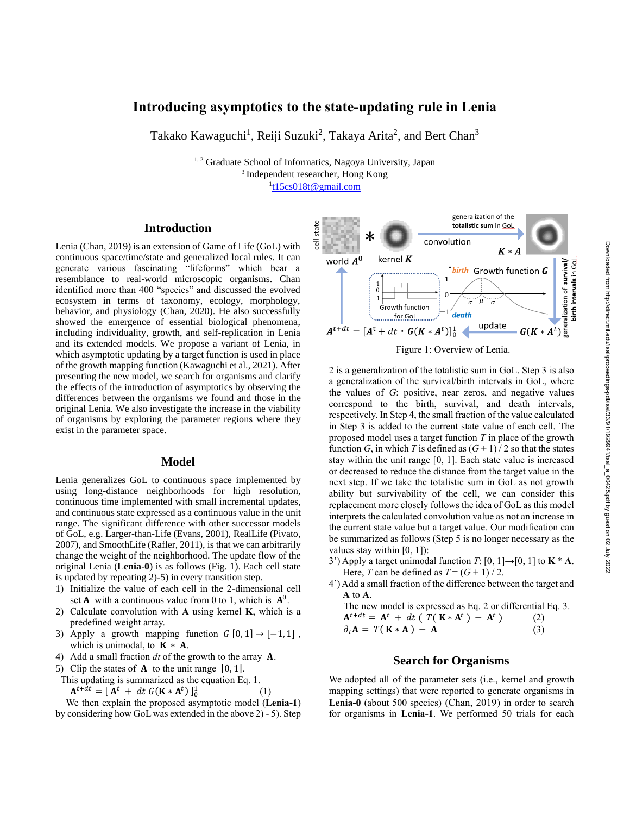# **Introducing asymptotics to the state-updating rule in Lenia**

Takako Kawaguchi<sup>1</sup>, Reiji Suzuki<sup>2</sup>, Takaya Arita<sup>2</sup>, and Bert Chan<sup>3</sup>

<sup>1, 2</sup> Graduate School of Informatics, Nagoya University, Japan <sup>3</sup>Independent researcher, Hong Kong <sup>1</sup>[t15cs018t@gmail.com](mailto:t15cs018t@gmail.com)

state

#### **Introduction**

Lenia (Chan, 2019) is an extension of Game of Life (GoL) with continuous space/time/state and generalized local rules. It can generate various fascinating "lifeforms" which bear a resemblance to real-world microscopic organisms. Chan identified more than 400 "species" and discussed the evolved ecosystem in terms of taxonomy, ecology, morphology, behavior, and physiology (Chan, 2020). He also successfully showed the emergence of essential biological phenomena, including individuality, growth, and self-replication in Lenia and its extended models. We propose a variant of Lenia, in which asymptotic updating by a target function is used in place of the growth mapping function (Kawaguchi et al., 2021). After presenting the new model, we search for organisms and clarify the effects of the introduction of asymptotics by observing the differences between the organisms we found and those in the original Lenia. We also investigate the increase in the viability of organisms by exploring the parameter regions where they exist in the parameter space.

#### **Model**

Lenia generalizes GoL to continuous space implemented by using long-distance neighborhoods for high resolution, continuous time implemented with small incremental updates, and continuous state expressed as a continuous value in the unit range. The significant difference with other successor models of GoL, e.g. Larger-than-Life (Evans, 2001), RealLife (Pivato, 2007), and SmoothLife (Rafler, 2011), is that we can arbitrarily change the weight of the neighborhood. The update flow of the original Lenia (**Lenia-0**) is as follows (Fig. 1). Each cell state is updated by repeating 2)-5) in every transition step.

- 1) Initialize the value of each cell in the 2-dimensional cell set **A** with a continuous value from 0 to 1, which is  $A^0$ .
- 2) Calculate convolution with **A** using kernel **K**, which is a predefined weight array.
- 3) Apply a growth mapping function  $G [0, 1] \rightarrow [-1, 1]$ , which is unimodal, to  $K \times A$ .
- 4) Add a small fraction *dt* of the growth to the array **A**.
- 5) Clip the states of  $A$  to the unit range  $[0, 1]$ .

This updating is summarized as the equation Eq. 1.

 $A^{t+dt} = [A^t + dt G(K*A^t)]_0^1$ (1)

We then explain the proposed asymptotic model (**Lenia-1**) by considering how GoL was extended in the above 2) - 5). Step



generalization of the

Figure 1: Overview of Lenia.

2 is a generalization of the totalistic sum in GoL. Step 3 is also a generalization of the survival/birth intervals in GoL, where the values of *G*: positive, near zeros, and negative values correspond to the birth, survival, and death intervals, respectively. In Step 4, the small fraction of the value calculated in Step 3 is added to the current state value of each cell. The proposed model uses a target function *T* in place of the growth function *G*, in which *T* is defined as  $(G + 1)/2$  so that the states stay within the unit range [0, 1]. Each state value is increased or decreased to reduce the distance from the target value in the next step. If we take the totalistic sum in GoL as not growth ability but survivability of the cell, we can consider this replacement more closely follows the idea of GoL as this model interprets the calculated convolution value as not an increase in the current state value but a target value. Our modification can be summarized as follows (Step 5 is no longer necessary as the values stay within [0, 1]):

- 3') Apply a target unimodal function  $T: [0, 1] \rightarrow [0, 1]$  to  $K * A$ . Here, *T* can be defined as  $T = (G + 1) / 2$ .
- 4') Add a small fraction of the difference between the target and **A** to **A**.

The new model is expressed as Eq. 2 or differential Eq. 3.  
\n
$$
A^{t+dt} = A^t + dt (T(K * A^t) - A^t)
$$
\n(2)  
\n
$$
\partial_t A = T(K * A) - A
$$
\n(3)

#### **Search for Organisms**

We adopted all of the parameter sets (i.e., kernel and growth mapping settings) that were reported to generate organisms in **Lenia-0** (about 500 species) (Chan, 2019) in order to search for organisms in **Lenia-1**. We performed 50 trials for each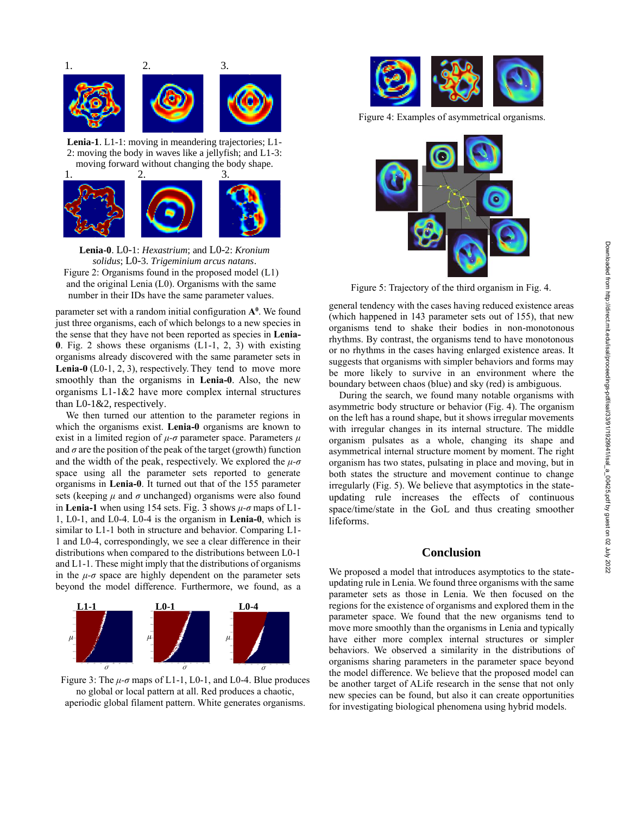

**Lenia-1**. L1-1: moving in meandering trajectories; L1- 2: moving the body in waves like a jellyfish; and L1-3: moving forward without changing the body shape.



**Lenia-0**. L0-1: *Hexastrium*; and L0-2: *Kronium solidus*; L0-3. *Trigeminium arcus natans*. Figure 2: Organisms found in the proposed model (L1)

and the original Lenia (L0). Organisms with the same number in their IDs have the same parameter values.

parameter set with a random initial configuration **A 0** . We found just three organisms, each of which belongs to a new species in the sense that they have not been reported as species in **Lenia-0**. Fig. 2 shows these organisms (L1-1, 2, 3) with existing organisms already discovered with the same parameter sets in **Lenia-0** (L0-1, 2, 3), respectively. They tend to move more smoothly than the organisms in **Lenia-0**. Also, the new organisms L1-1&2 have more complex internal structures than L0-1&2, respectively.

We then turned our attention to the parameter regions in which the organisms exist. **Lenia-0** organisms are known to exist in a limited region of *μ-σ* parameter space. Parameters *μ* and  $\sigma$  are the position of the peak of the target (growth) function and the width of the peak, respectively. We explored the  $\mu$ - $\sigma$ space using all the parameter sets reported to generate organisms in **Lenia-0**. It turned out that of the 155 parameter sets (keeping  $\mu$  and  $\sigma$  unchanged) organisms were also found in **Lenia-1** when using 154 sets. Fig. 3 shows *μ-σ* maps of L1- 1, L0-1, and L0-4. L0-4 is the organism in **Lenia-0**, which is similar to L1-1 both in structure and behavior. Comparing L1- 1 and L0-4, correspondingly, we see a clear difference in their distributions when compared to the distributions between L0-1 and L1-1. These might imply that the distributions of organisms in the  $\mu$ - $\sigma$  space are highly dependent on the parameter sets beyond the model difference. Furthermore, we found, as a



Figure 3: The  $\mu$ - $\sigma$  maps of L1-1, L0-1, and L0-4. Blue produces no global or local pattern at all. Red produces a chaotic, aperiodic global filament pattern. White generates organisms.



Figure 4: Examples of asymmetrical organisms.



Figure 5: Trajectory of the third organism in Fig. 4.

general tendency with the cases having reduced existence areas (which happened in 143 parameter sets out of 155), that new organisms tend to shake their bodies in non-monotonous rhythms. By contrast, the organisms tend to have monotonous or no rhythms in the cases having enlarged existence areas. It suggests that organisms with simpler behaviors and forms may be more likely to survive in an environment where the boundary between chaos (blue) and sky (red) is ambiguous.

During the search, we found many notable organisms with asymmetric body structure or behavior (Fig. 4). The organism on the left has a round shape, but it shows irregular movements with irregular changes in its internal structure. The middle organism pulsates as a whole, changing its shape and asymmetrical internal structure moment by moment. The right organism has two states, pulsating in place and moving, but in both states the structure and movement continue to change irregularly (Fig. 5). We believe that asymptotics in the stateupdating rule increases the effects of continuous space/time/state in the GoL and thus creating smoother lifeforms.

### **Conclusion**

We proposed a model that introduces asymptotics to the stateupdating rule in Lenia. We found three organisms with the same parameter sets as those in Lenia. We then focused on the regions for the existence of organisms and explored them in the parameter space. We found that the new organisms tend to move more smoothly than the organisms in Lenia and typically have either more complex internal structures or simpler behaviors. We observed a similarity in the distributions of organisms sharing parameters in the parameter space beyond the model difference. We believe that the proposed model can be another target of ALife research in the sense that not only new species can be found, but also it can create opportunities for investigating biological phenomena using hybrid models.